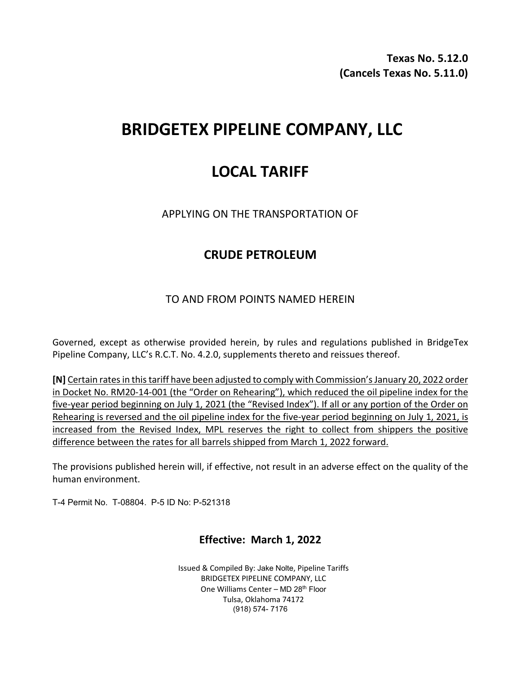**Texas No. 5.12.0 (Cancels Texas No. 5.11.0)**

# **BRIDGETEX PIPELINE COMPANY, LLC**

## **LOCAL TARIFF**

APPLYING ON THE TRANSPORTATION OF

## **CRUDE PETROLEUM**

### TO AND FROM POINTS NAMED HEREIN

Governed, except as otherwise provided herein, by rules and regulations published in BridgeTex Pipeline Company, LLC's R.C.T. No. 4.2.0, supplements thereto and reissues thereof.

**[N]** Certain rates in this tariff have been adjusted to comply with Commission's January 20, 2022 order in Docket No. RM20-14-001 (the "Order on Rehearing"), which reduced the oil pipeline index for the five-year period beginning on July 1, 2021 (the "Revised Index"). If all or any portion of the Order on Rehearing is reversed and the oil pipeline index for the five-year period beginning on July 1, 2021, is increased from the Revised Index, MPL reserves the right to collect from shippers the positive difference between the rates for all barrels shipped from March 1, 2022 forward.

The provisions published herein will, if effective, not result in an adverse effect on the quality of the human environment.

T-4 Permit No. T-08804. P-5 ID No: P-521318

### **Effective: March 1, 2022**

Issued & Compiled By: Jake Nolte, Pipeline Tariffs BRIDGETEX PIPELINE COMPANY, LLC One Williams Center - MD 28<sup>th</sup> Floor Tulsa, Oklahoma 74172 (918) 574- 7176